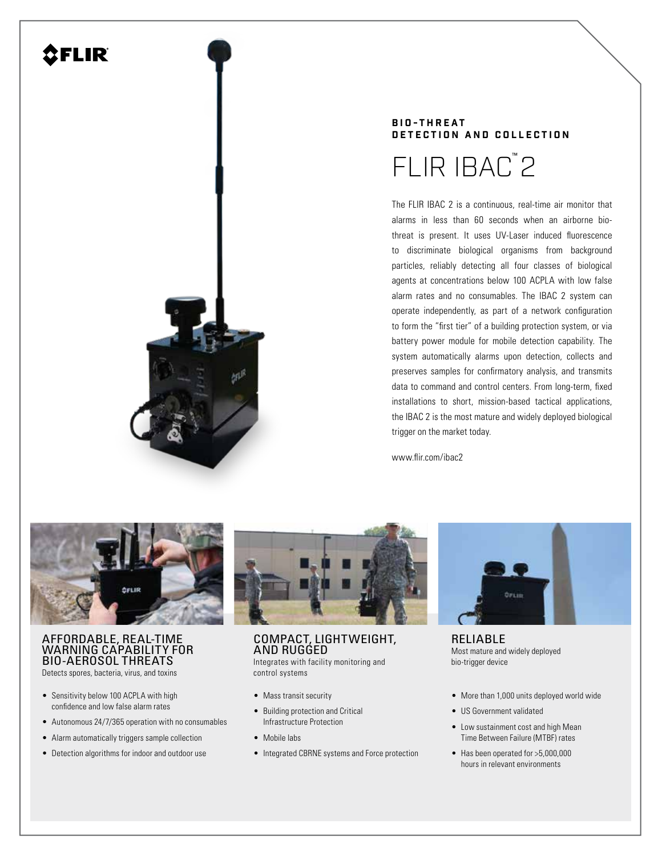# **AFLIR**



# **B I O - T H R E A T DETECTION AND COLLECTION**



The FLIR IBAC 2 is a continuous, real-time air monitor that alarms in less than 60 seconds when an airborne biothreat is present. It uses UV-Laser induced fluorescence to discriminate biological organisms from background particles, reliably detecting all four classes of biological agents at concentrations below 100 ACPLA with low false alarm rates and no consumables. The IBAC 2 system can operate independently, as part of a network configuration to form the "first tier" of a building protection system, or via battery power module for mobile detection capability. The system automatically alarms upon detection, collects and preserves samples for confirmatory analysis, and transmits data to command and control centers. From long-term, fixed installations to short, mission-based tactical applications, the IBAC 2 is the most mature and widely deployed biological trigger on the market today.

www.flir.com/ibac2



# AFFORDABLE, REAL-TIME WARNING CAPABILITY FOR BIO-AEROSOL THREATS

Detects spores, bacteria, virus, and toxins

- Sensitivity below 100 ACPLA with high confidence and low false alarm rates
- Autonomous 24/7/365 operation with no consumables
- Alarm automatically triggers sample collection
- Detection algorithms for indoor and outdoor use



# COMPACT, LIGHTWEIGHT, AND RUGGED

Integrates with facility monitoring and control systems

- Mass transit security
- Building protection and Critical Infrastructure Protection
- Mobile labs
- Integrated CBRNE systems and Force protection



RELIABLE Most mature and widely deployed bio-trigger device

- More than 1,000 units deployed world wide
- US Government validated
- Low sustainment cost and high Mean Time Between Failure (MTBF) rates
- Has been operated for >5,000,000 hours in relevant environments